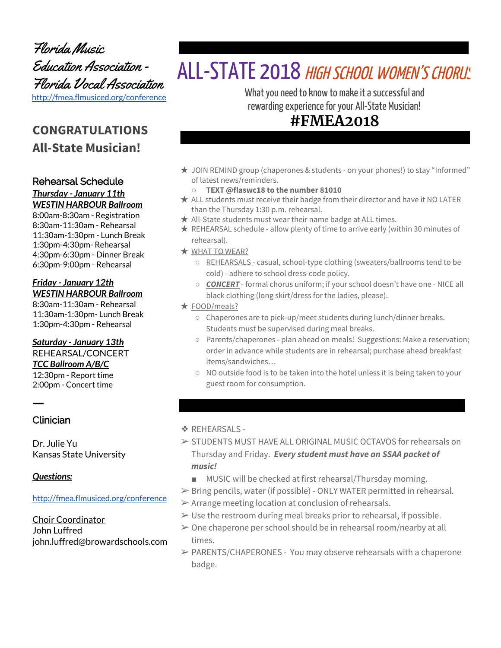Florida Music Education Association - Florida Vocal Association <http://fmea.flmusiced.org/conference>

# **CONGRATULATIONS All-State Musician!**

### Rehearsal Schedule

#### *Thursday - January 11th WESTIN HARBOUR Ballroom*

8:00am-8:30am - Registration 8:30am-11:30am - Rehearsal 11:30am-1:30pm - Lunch Break 1:30pm-4:30pm- Rehearsal 4:30pm-6:30pm - Dinner Break 6:30pm-9:00pm - Rehearsal

### *Friday - January 12th WESTIN HARBOUR Ballroom*

8:30am-11:30am - Rehearsal 11:30am-1:30pm- Lunch Break 1:30pm-4:30pm - Rehearsal

### *Saturday - January 13th*

REHEARSAL/CONCERT *TCC Ballroom A/B/C* 12:30pm - Report time 2:00pm - Concert time

Clinician

ㅡ

Dr. Julie Yu Kansas State University

### *Questions:*

#### <http://fmea.flmusiced.org/conference>

Choir Coordinator John Luffred john.luffred@browardschools.com

# ALL-STATE 2018 HIGH SCHOOL WOMEN'S CHORUS

What you need to know to make it a successful and rewarding experience for your All-State Musician!

# **#FMEA2018**

★ JOIN REMIND group (chaperones & students - on your phones!) to stay "Informed" of latest news/reminders.

### **○ TEXT @flaswc18 to the number 81010**

- ★ ALL students must receive their badge from their director and have it NO LATER than the Thursday 1:30 p.m. rehearsal.
- $\star$  All-State students must wear their name badge at ALL times.
- ★ REHEARSAL schedule allow plenty of time to arrive early (within 30 minutes of rehearsal).
- ★ WHAT TO WEAR?
	- REHEARSALS casual, school-type clothing (sweaters/ballrooms tend to be cold) - adhere to school dress-code policy.
	- *CONCERT* formal chorus uniform; if your school doesn't have one NICE all black clothing (long skirt/dress for the ladies, please).
- ★ FOOD/meals?
	- Chaperones are to pick-up/meet students during lunch/dinner breaks. Students must be supervised during meal breaks.
	- Parents/chaperones plan ahead on meals! Suggestions: Make a reservation; order in advance while students are in rehearsal; purchase ahead breakfast items/sandwiches…
	- NO outside food is to be taken into the hotel unless it is being taken to your guest room for consumption.

### ❖ REHEARSALS -

- ➢ STUDENTS MUST HAVE ALL ORIGINAL MUSIC OCTAVOS for rehearsals on Thursday and Friday. *Every student must have an SSAA packet of music!*
	- MUSIC will be checked at first rehearsal/Thursday morning.
- $\triangleright$  Bring pencils, water (if possible) ONLY WATER permitted in rehearsal.
- $\triangleright$  Arrange meeting location at conclusion of rehearsals.
- $\triangleright$  Use the restroom during meal breaks prior to rehearsal, if possible.
- $\geq 0$ ne chaperone per school should be in rehearsal room/nearby at all times.
- $\triangleright$  PARENTS/CHAPERONES You may observe rehearsals with a chaperone badge.